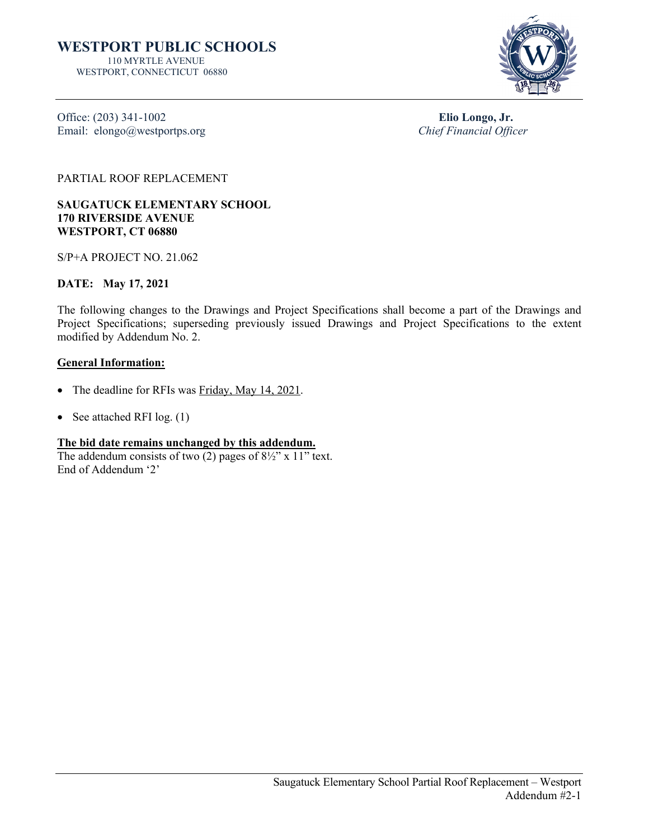

Office: (203) 341-1002 **Elio Longo, Jr.**<br>
Elio Longo, Jr. Chief Financial Officer Email: elongo@westportps.org

PARTIAL ROOF REPLACEMENT

**SAUGATUCK ELEMENTARY SCHOOL 170 RIVERSIDE AVENUE WESTPORT, CT 06880**

S/P+A PROJECT NO. 21.062

## **DATE: May 17, 2021**

The following changes to the Drawings and Project Specifications shall become a part of the Drawings and Project Specifications; superseding previously issued Drawings and Project Specifications to the extent modified by Addendum No. 2.

## **General Information:**

- The deadline for RFIs was Friday, May 14, 2021.
- See attached RFI log. (1)

## **The bid date remains unchanged by this addendum.**

The addendum consists of two  $(2)$  pages of  $8\frac{1}{2}$ " x 11" text. End of Addendum '2'